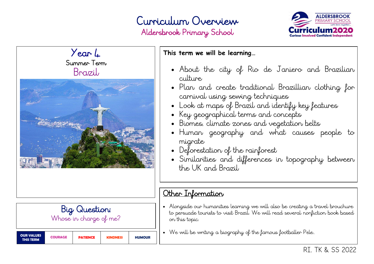## Curriculum Overview Aldersbrook Primary School





Big Question: Whose in charge of me?

| <b>OUR VALUES</b><br>THIS TERM | <b>COURAGE</b> | <b>PATIENCE</b> | <b>KINDNESS</b> | <b>HUMOUR</b> |
|--------------------------------|----------------|-----------------|-----------------|---------------|
|--------------------------------|----------------|-----------------|-----------------|---------------|

#### **This term we will be learning…**

- About the city of Rio de Janiero and Brazilian culture
- Plan and create traditional Brazillian clothing for carnival using sewing techniques
- Look at maps of Brazil and identify key features
- Key geographical terms and concepts
- Biomes, climate zones and vegetation belts
- Human geography and what causes people to migrate
- Deforestation of the rainforest
- Similarities and differences in topography between the UK and Brazil

### Other Information

- Alongside our humanities learning we will also be creating a travel brouchure to persuade tourists to visit Brazil. We will read several nonfiction book based on this topic.
- We will be writing a biography of the famous footballer Pele..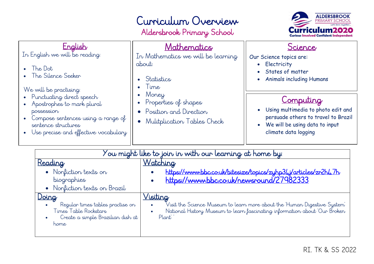# Curriculum Overview

Aldersbrook Primary School



| English<br>In English we will be reading:<br>The Dot<br>The Silence Seeker<br>We will be practising:<br>Punctuating direct speech<br>Apostrophes to mark plural<br>possession<br>Compose sentences using a range of<br>sentence structures<br>Use precise and effective vocabulary<br>$\bullet$ | Mathematics<br>In Mathematics we will be learning<br>about:<br>Statistics<br>$\bullet$ Time<br>Money<br>• Properties of shapes<br>• Position and Direction<br>Mulitplication Tables Check | Science<br>Our Science topics are:<br>Electricity<br>$\bullet$<br>States of matter<br><b>Animals including Humans</b><br>Computing<br>• Using multimedia to photo edit and<br>persuade others to travel to Brazil<br>• We will be using data to input<br>climate data logging |
|-------------------------------------------------------------------------------------------------------------------------------------------------------------------------------------------------------------------------------------------------------------------------------------------------|-------------------------------------------------------------------------------------------------------------------------------------------------------------------------------------------|-------------------------------------------------------------------------------------------------------------------------------------------------------------------------------------------------------------------------------------------------------------------------------|
|-------------------------------------------------------------------------------------------------------------------------------------------------------------------------------------------------------------------------------------------------------------------------------------------------|-------------------------------------------------------------------------------------------------------------------------------------------------------------------------------------------|-------------------------------------------------------------------------------------------------------------------------------------------------------------------------------------------------------------------------------------------------------------------------------|

| ou might like to join in with our learning at home by: $\overline{\phantom{a}}$                                 |                                                                                                                                                                                  |  |  |  |
|-----------------------------------------------------------------------------------------------------------------|----------------------------------------------------------------------------------------------------------------------------------------------------------------------------------|--|--|--|
| Reading<br>• Nonfiction texts on<br>biographies<br>Nonfiction texts on Brazil                                   | <u>Watching</u><br>https://www.bbc.co.uk/bitesize/topics/zyhp34j/articles/zr2h47h<br>https://www.bbc.co.uk/newsround/27982333                                                    |  |  |  |
| Doing<br>Regular times tables practise on<br>Times Table Rockstars<br>Create a simple Brazilian dish at<br>home | <u>Visiting</u><br>Visit the Science Museum to learn more about the Human Digestive System<br>National History Museum to learn fascinating information about Our Broken<br>Plant |  |  |  |